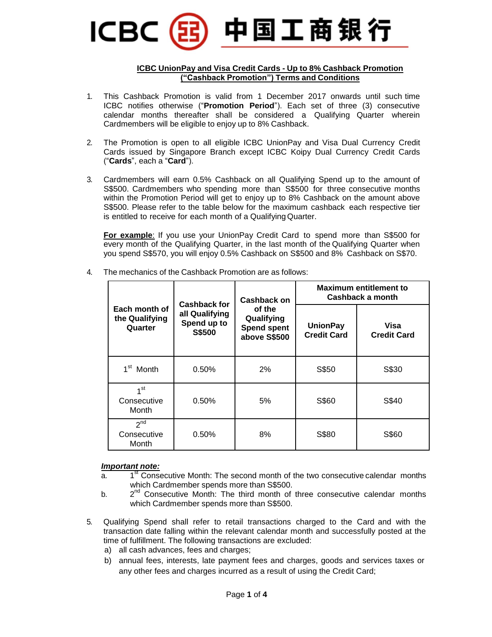### 中国工商银行 ICBC

#### **ICBC UnionPay and Visa Credit Cards - Up to 8% Cashback Promotion ("Cashback Promotion") Terms and Conditions**

- 1. This Cashback Promotion is valid from 1 December 2017 onwards until such time ICBC notifies otherwise ("**Promotion Period**"). Each set of three (3) consecutive calendar months thereafter shall be considered a Qualifying Quarter wherein Cardmembers will be eligible to enjoy up to 8% Cashback.
- 2. The Promotion is open to all eligible ICBC UnionPay and Visa Dual Currency Credit Cards issued by Singapore Branch except ICBC Koipy Dual Currency Credit Cards ("**Cards**", each a "**Card**").
- 3. Cardmembers will earn 0.5% Cashback on all Qualifying Spend up to the amount of S\$500. Cardmembers who spending more than S\$500 for three consecutive months within the Promotion Period will get to enjoy up to 8% Cashback on the amount above S\$500. Please refer to the table below for the maximum cashback each respective tier is entitled to receive for each month of a Qualifying Quarter.

**For example**: If you use your UnionPay Credit Card to spend more than S\$500 for every month of the Qualifying Quarter, in the last month of the Qualifying Quarter when you spend S\$570, you will enjoy 0.5% Cashback on S\$500 and 8% Cashback on S\$70.

|                                            | <b>Cashback for</b><br>all Qualifying<br>Spend up to<br>S\$500 | <b>Cashback on</b><br>of the<br>Qualifying<br><b>Spend spent</b><br>above S\$500 | <b>Maximum entitlement to</b><br>Cashback a month |                            |  |
|--------------------------------------------|----------------------------------------------------------------|----------------------------------------------------------------------------------|---------------------------------------------------|----------------------------|--|
| Each month of<br>the Qualifying<br>Quarter |                                                                |                                                                                  | <b>UnionPay</b><br><b>Credit Card</b>             | Visa<br><b>Credit Card</b> |  |
| 1 <sup>st</sup> Month                      | 0.50%                                                          | 2%                                                                               | S\$50                                             | S\$30                      |  |
| 1 <sup>st</sup><br>Consecutive<br>Month    | 0.50%                                                          | 5%                                                                               | S\$60                                             | S\$40                      |  |
| 2 <sub>nd</sub><br>Consecutive<br>Month    | 0.50%                                                          | 8%                                                                               | S\$80                                             | S\$60                      |  |

4. The mechanics of the Cashback Promotion are as follows:

#### *Important note:*

- $a<sub>1</sub>$ 1<sup>st</sup> Consecutive Month: The second month of the two consecutive calendar months which Cardmember spends more than S\$500.
- $b<sub>r</sub>$  $2^{nd}$  Consecutive Month: The third month of three consecutive calendar months which Cardmember spends more than S\$500.
- 5. Qualifying Spend shall refer to retail transactions charged to the Card and with the transaction date falling within the relevant calendar month and successfully posted at the time of fulfillment. The following transactions are excluded:
	- a) all cash advances, fees and charges:
	- b) annual fees, interests, late payment fees and charges, goods and services taxes or any other fees and charges incurred as a result of using the Credit Card;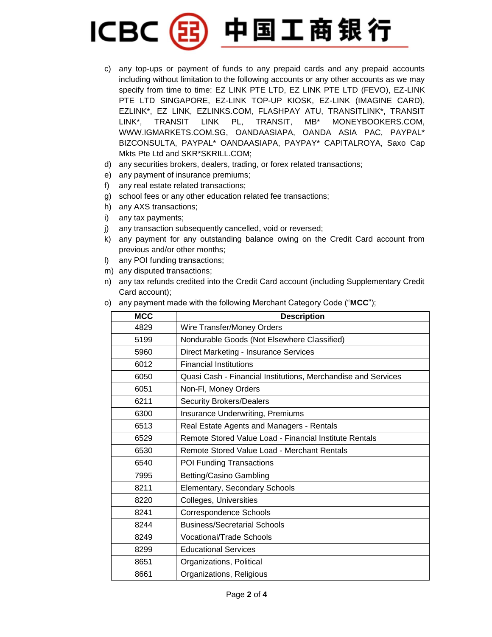## 中国工商银行 **ICBC**

- c) any top-ups or payment of funds to any prepaid cards and any prepaid accounts including without limitation to the following accounts or any other accounts as we may specify from time to time: EZ LINK PTE LTD, EZ LINK PTE LTD (FEVO), EZ-LINK PTE LTD SINGAPORE, EZ-LINK TOP-UP KIOSK, EZ-LINK (IMAGINE CARD), EZLINK\*, EZ LINK, EZLINKS.COM, FLASHPAY ATU, TRANSITLINK\*, TRANSIT LINK\*, TRANSIT LINK PL, TRANSIT, MB\* MONEYBOOKERS.COM, WWW.IGMARKETS.COM.SG, OANDAASIAPA, OANDA ASIA PAC, PAYPAL\* BIZCONSULTA, PAYPAL\* OANDAASIAPA, PAYPAY\* CAPITALROYA, Saxo Cap Mkts Pte Ltd and SKR\*SKRILL.COM;
- d) any securities brokers, dealers, trading, or forex related transactions;
- e) any payment of insurance premiums;
- f) any real estate related transactions;
- g) school fees or any other education related fee transactions;
- h) any AXS transactions;
- i) any tax payments;
- j) any transaction subsequently cancelled, void or reversed;
- k) any payment for any outstanding balance owing on the Credit Card account from previous and/or other months;
- l) any POI funding transactions;
- m) any disputed transactions;
- n) any tax refunds credited into the Credit Card account (including Supplementary Credit Card account);
- o) any payment made with the following Merchant Category Code ("**MCC**");

| <b>MCC</b> | <b>Description</b>                                            |  |  |
|------------|---------------------------------------------------------------|--|--|
| 4829       | Wire Transfer/Money Orders                                    |  |  |
| 5199       | Nondurable Goods (Not Elsewhere Classified)                   |  |  |
| 5960       | Direct Marketing - Insurance Services                         |  |  |
| 6012       | <b>Financial Institutions</b>                                 |  |  |
| 6050       | Quasi Cash - Financial Institutions, Merchandise and Services |  |  |
| 6051       | Non-Fl, Money Orders                                          |  |  |
| 6211       | <b>Security Brokers/Dealers</b>                               |  |  |
| 6300       | <b>Insurance Underwriting, Premiums</b>                       |  |  |
| 6513       | Real Estate Agents and Managers - Rentals                     |  |  |
| 6529       | Remote Stored Value Load - Financial Institute Rentals        |  |  |
| 6530       | Remote Stored Value Load - Merchant Rentals                   |  |  |
| 6540       | POI Funding Transactions                                      |  |  |
| 7995       | Betting/Casino Gambling                                       |  |  |
| 8211       | Elementary, Secondary Schools                                 |  |  |
| 8220       | Colleges, Universities                                        |  |  |
| 8241       | <b>Correspondence Schools</b>                                 |  |  |
| 8244       | <b>Business/Secretarial Schools</b>                           |  |  |
| 8249       | Vocational/Trade Schools                                      |  |  |
| 8299       | <b>Educational Services</b>                                   |  |  |
| 8651       | Organizations, Political                                      |  |  |
| 8661       | Organizations, Religious                                      |  |  |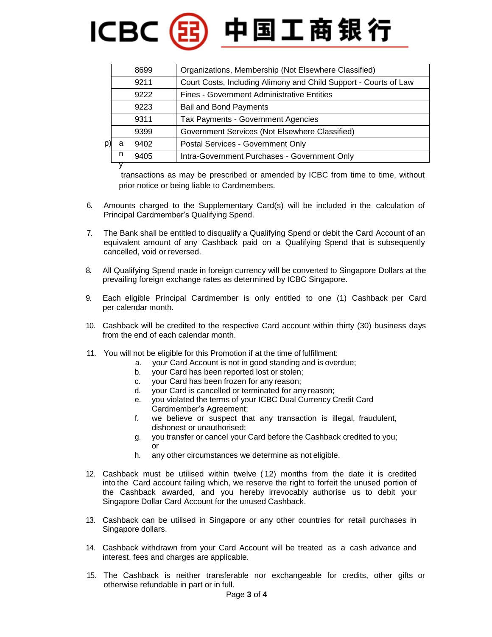# 

|   | Organizations, Membership (Not Elsewhere Classified)<br>8699 |                                                                  |  |
|---|--------------------------------------------------------------|------------------------------------------------------------------|--|
|   | 9211                                                         | Court Costs, Including Alimony and Child Support - Courts of Law |  |
|   | 9222                                                         | <b>Fines - Government Administrative Entities</b>                |  |
|   | 9223                                                         | <b>Bail and Bond Payments</b>                                    |  |
|   | 9311                                                         | <b>Tax Payments - Government Agencies</b>                        |  |
|   | 9399                                                         | Government Services (Not Elsewhere Classified)                   |  |
| a | 9402                                                         | Postal Services - Government Only                                |  |
| n | 9405                                                         | Intra-Government Purchases - Government Only                     |  |
|   |                                                              |                                                                  |  |

transactions as may be prescribed or amended by ICBC from time to time, without prior notice or being liable to Cardmembers.

- 6. Amounts charged to the Supplementary Card(s) will be included in the calculation of Principal Cardmember's Qualifying Spend.
- 7. The Bank shall be entitled to disqualify a Qualifying Spend or debit the Card Account of an equivalent amount of any Cashback paid on a Qualifying Spend that is subsequently cancelled, void or reversed.
- 8. All Qualifying Spend made in foreign currency will be converted to Singapore Dollars at the prevailing foreign exchange rates as determined by ICBC Singapore.
- 9. Each eligible Principal Cardmember is only entitled to one (1) Cashback per Card per calendar month.
- 10. Cashback will be credited to the respective Card account within thirty (30) business days from the end of each calendar month.
- 11. You will not be eligible for this Promotion if at the time of fulfillment:
	- a. your Card Account is not in good standing and is overdue;
	- b. your Card has been reported lost or stolen;
	- c. your Card has been frozen for any reason;
	- d. your Card is cancelled or terminated for any reason;
	- e. you violated the terms of your ICBC Dual Currency Credit Card Cardmember's Agreement;
	- f. we believe or suspect that any transaction is illegal, fraudulent, dishonest or unauthorised;
	- g. you transfer or cancel your Card before the Cashback credited to you; or
	- h. any other circumstances we determine as not eligible.
- 12. Cashback must be utilised within twelve ( 12) months from the date it is credited into the Card account failing which, we reserve the right to forfeit the unused portion of the Cashback awarded, and you hereby irrevocably authorise us to debit your Singapore Dollar Card Account for the unused Cashback.
- 13. Cashback can be utilised in Singapore or any other countries for retail purchases in Singapore dollars.
- 14. Cashback withdrawn from your Card Account will be treated as a cash advance and interest, fees and charges are applicable.
- 15. The Cashback is neither transferable nor exchangeable for credits, other gifts or otherwise refundable in part or in full.